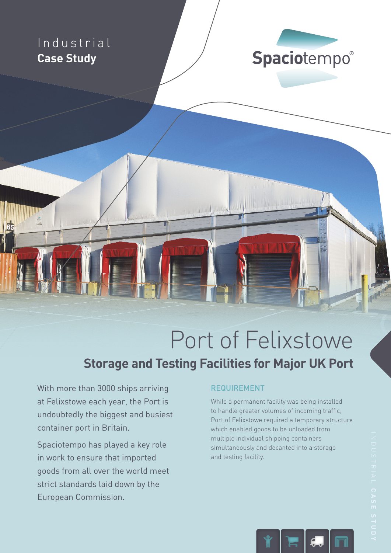### Industrial **Case Study**



## Port of Felixstowe

#### **Storage and Testing Facilities for Major UK Port**

With more than 3000 ships arriving at Felixstowe each year, the Port is undoubtedly the biggest and busiest container port in Britain.

Spaciotempo has played a key role in work to ensure that imported goods from all over the world meet strict standards laid down by the European Commission.

#### REQUIREMENT

While a permanent facility was being installed to handle greater volumes of incoming traffic, Port of Felixstowe required a temporary structure which enabled goods to be unloaded from multiple individual shipping containers simultaneously and decanted into a storage and testing facility.